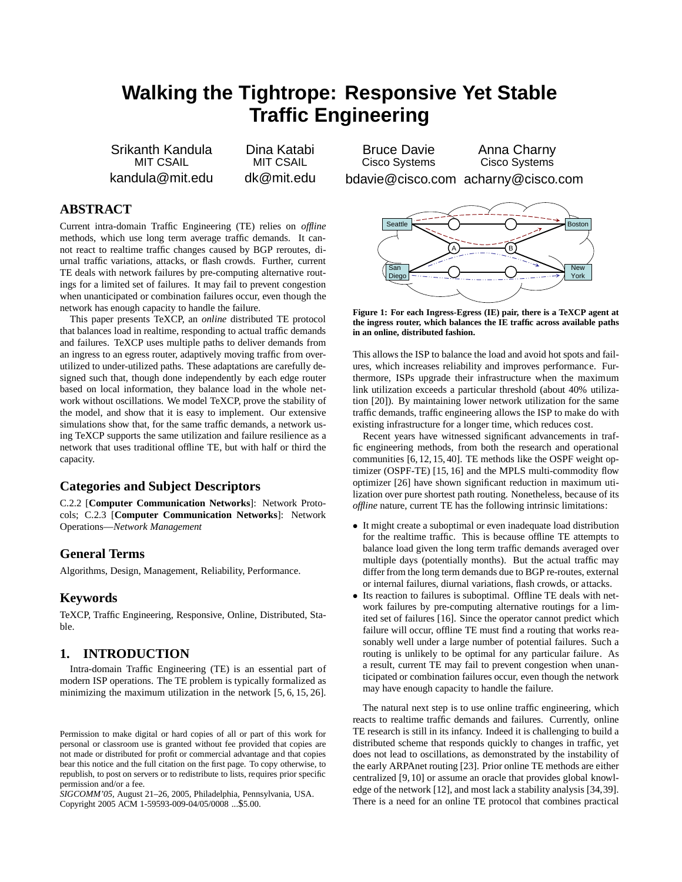# **Walking the Tightrope: Responsive Yet Stable Traffic Engineering**

Srikanth Kandula MIT CSAIL kandula@mit.edu

Dina Katabi MIT CSAIL dk@mit.edu

# **ABSTRACT**

Current intra-domain Traffic Engineering (TE) relies on *offline* methods, which use long term average traffic demands. It cannot react to realtime traffic changes caused by BGP reroutes, diurnal traffic variations, attacks, or flash crowds. Further, current TE deals with network failures by pre-computing alternative routings for a limited set of failures. It may fail to prevent congestion when unanticipated or combination failures occur, even though the network has enough capacity to handle the failure.

This paper presents TeXCP, an *online* distributed TE protocol that balances load in realtime, responding to actual traffic demands and failures. TeXCP uses multiple paths to deliver demands from an ingress to an egress router, adaptively moving traffic from overutilized to under-utilized paths. These adaptations are carefully designed such that, though done independently by each edge router based on local information, they balance load in the whole network without oscillations. We model TeXCP, prove the stability of the model, and show that it is easy to implement. Our extensive simulations show that, for the same traffic demands, a network using TeXCP supports the same utilization and failure resilience as a network that uses traditional offline TE, but with half or third the capacity.

## **Categories and Subject Descriptors**

C.2.2 [**Computer Communication Networks**]: Network Protocols; C.2.3 [**Computer Communication Networks**]: Network Operations—*Network Management*

## **General Terms**

Algorithms, Design, Management, Reliability, Performance.

## **Keywords**

TeXCP, Traffic Engineering, Responsive, Online, Distributed, Stable.

#### **1. INTRODUCTION**

Intra-domain Traffic Engineering (TE) is an essential part of modern ISP operations. The TE problem is typically formalized as minimizing the maximum utilization in the network [5, 6, 15, 26].

*SIGCOMM'05,* August 21–26, 2005, Philadelphia, Pennsylvania, USA. Copyright 2005 ACM 1-59593-009-04/05/0008 ...\$5.00.

Bruce Davie Cisco Systems bdavie@cisco.com acharny@cisco.com Anna Charny Cisco Systems



**Figure 1: For each Ingress-Egress (IE) pair, there is a TeXCP agent at the ingress router, which balances the IE traffic across available paths in an online, distributed fashion.**

This allows the ISP to balance the load and avoid hot spots and failures, which increases reliability and improves performance. Furthermore, ISPs upgrade their infrastructure when the maximum link utilization exceeds a particular threshold (about 40% utilization [20]). By maintaining lower network utilization for the same traffic demands, traffic engineering allows the ISP to make do with existing infrastructure for a longer time, which reduces cost.

Recent years have witnessed significant advancements in traffic engineering methods, from both the research and operational communities [6, 12, 15, 40]. TE methods like the OSPF weight optimizer (OSPF-TE) [15, 16] and the MPLS multi-commodity flow optimizer [26] have shown significant reduction in maximum utilization over pure shortest path routing. Nonetheless, because of its *offline* nature, current TE has the following intrinsic limitations:

- It might create a suboptimal or even inadequate load distribution for the realtime traffic. This is because offline TE attempts to balance load given the long term traffic demands averaged over multiple days (potentially months). But the actual traffic may differ from the long term demands due to BGP re-routes, external or internal failures, diurnal variations, flash crowds, or attacks.
- Its reaction to failures is suboptimal. Offline TE deals with network failures by pre-computing alternative routings for a limited set of failures [16]. Since the operator cannot predict which failure will occur, offline TE must find a routing that works reasonably well under a large number of potential failures. Such a routing is unlikely to be optimal for any particular failure. As a result, current TE may fail to prevent congestion when unanticipated or combination failures occur, even though the network may have enough capacity to handle the failure.

The natural next step is to use online traffic engineering, which reacts to realtime traffic demands and failures. Currently, online TE research is still in its infancy. Indeed it is challenging to build a distributed scheme that responds quickly to changes in traffic, yet does not lead to oscillations, as demonstrated by the instability of the early ARPAnet routing [23]. Prior online TE methods are either centralized [9, 10] or assume an oracle that provides global knowledge of the network [12], and most lack a stability analysis [34,39]. There is a need for an online TE protocol that combines practical

Permission to make digital or hard copies of all or part of this work for personal or classroom use is granted without fee provided that copies are not made or distributed for profit or commercial advantage and that copies bear this notice and the full citation on the first page. To copy otherwise, to republish, to post on servers or to redistribute to lists, requires prior specific permission and/or a fee.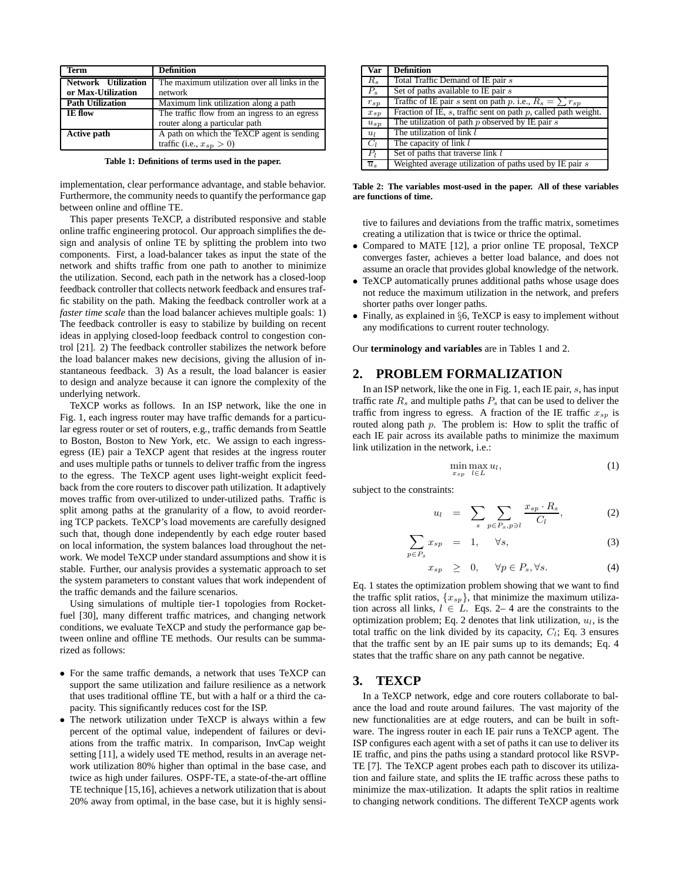| Term                    | <b>Definition</b>                             |  |  |
|-------------------------|-----------------------------------------------|--|--|
| Network Utilization     | The maximum utilization over all links in the |  |  |
| or Max-Utilization      | network                                       |  |  |
| <b>Path Utilization</b> | Maximum link utilization along a path         |  |  |
| <b>IE</b> flow          | The traffic flow from an ingress to an egress |  |  |
|                         | router along a particular path                |  |  |
| <b>Active path</b>      | A path on which the TeXCP agent is sending    |  |  |
|                         | traffic (i.e., $x_{sp} > 0$ )                 |  |  |

**Table 1: Definitions of terms used in the paper.**

implementation, clear performance advantage, and stable behavior. Furthermore, the community needs to quantify the performance gap between online and offline TE.

This paper presents TeXCP, a distributed responsive and stable online traffic engineering protocol. Our approach simplifies the design and analysis of online TE by splitting the problem into two components. First, a load-balancer takes as input the state of the network and shifts traffic from one path to another to minimize the utilization. Second, each path in the network has a closed-loop feedback controller that collects network feedback and ensures traffic stability on the path. Making the feedback controller work at a *faster time scale* than the load balancer achieves multiple goals: 1) The feedback controller is easy to stabilize by building on recent ideas in applying closed-loop feedback control to congestion control [21]. 2) The feedback controller stabilizes the network before the load balancer makes new decisions, giving the allusion of instantaneous feedback. 3) As a result, the load balancer is easier to design and analyze because it can ignore the complexity of the underlying network.

TeXCP works as follows. In an ISP network, like the one in Fig. 1, each ingress router may have traffic demands for a particular egress router or set of routers, e.g., traffic demands from Seattle to Boston, Boston to New York, etc. We assign to each ingressegress (IE) pair a TeXCP agent that resides at the ingress router and uses multiple paths or tunnels to deliver traffic from the ingress to the egress. The TeXCP agent uses light-weight explicit feedback from the core routers to discover path utilization. It adaptively moves traffic from over-utilized to under-utilized paths. Traffic is split among paths at the granularity of a flow, to avoid reordering TCP packets. TeXCP's load movements are carefully designed such that, though done independently by each edge router based on local information, the system balances load throughout the network. We model TeXCP under standard assumptions and show it is stable. Further, our analysis provides a systematic approach to set the system parameters to constant values that work independent of the traffic demands and the failure scenarios.

Using simulations of multiple tier-1 topologies from Rocketfuel [30], many different traffic matrices, and changing network conditions, we evaluate TeXCP and study the performance gap between online and offline TE methods. Our results can be summarized as follows:

- For the same traffic demands, a network that uses TeXCP can support the same utilization and failure resilience as a network that uses traditional offline TE, but with a half or a third the capacity. This significantly reduces cost for the ISP.
- The network utilization under TeXCP is always within a few percent of the optimal value, independent of failures or deviations from the traffic matrix. In comparison, InvCap weight setting [11], a widely used TE method, results in an average network utilization 80% higher than optimal in the base case, and twice as high under failures. OSPF-TE, a state-of-the-art offline TE technique [15,16], achieves a network utilization that is about 20% away from optimal, in the base case, but it is highly sensi-

| Var              | <b>Definition</b>                                                    |
|------------------|----------------------------------------------------------------------|
| $R_s$            | Total Traffic Demand of IE pair s                                    |
| $P_s$            | Set of paths available to IE pair s                                  |
| $r_{sp}$         | Traffic of IE pair s sent on path p. i.e., $R_s = \sum r_{sp}$       |
| $x_{sp}$         | Fraction of IE, $s$ , traffic sent on path $p$ , called path weight. |
| $u_{sp}$         | The utilization of path $p$ observed by IE pair $s$                  |
| $u_l$            | The utilization of link $l$                                          |
| $C_l$            | The capacity of link l                                               |
| $P_l$            | Set of paths that traverse link l                                    |
| $\overline{u}_s$ | Weighted average utilization of paths used by IE pair s              |

**Table 2: The variables most-used in the paper. All of these variables are functions of time.**

tive to failures and deviations from the traffic matrix, sometimes creating a utilization that is twice or thrice the optimal.

- Compared to MATE [12], a prior online TE proposal, TeXCP converges faster, achieves a better load balance, and does not assume an oracle that provides global knowledge of the network.
- TeXCP automatically prunes additional paths whose usage does not reduce the maximum utilization in the network, and prefers shorter paths over longer paths.
- Finally, as explained in §6, TeXCP is easy to implement without any modifications to current router technology.

Our **terminology and variables** are in Tables 1 and 2.

#### **2. PROBLEM FORMALIZATION**

In an ISP network, like the one in Fig. 1, each IE pair, s, has input traffic rate  $R_s$  and multiple paths  $P_s$  that can be used to deliver the traffic from ingress to egress. A fraction of the IE traffic  $x_{sp}$  is routed along path  $p$ . The problem is: How to split the traffic of each IE pair across its available paths to minimize the maximum link utilization in the network, i.e.:

$$
\min_{x_{sp}} \max_{l \in L} u_l,\tag{1}
$$

subject to the constraints:

$$
u_l = \sum_{s} \sum_{p \in P_s, p \ni l} \frac{x_{sp} \cdot R_s}{C_l}, \tag{2}
$$

$$
\sum_{p \in P_s} x_{sp} = 1, \quad \forall s,
$$
\n(3)

$$
x_{sp} \geq 0, \quad \forall p \in P_s, \forall s. \tag{4}
$$

Eq. 1 states the optimization problem showing that we want to find the traffic split ratios,  $\{x_{sp}\}$ , that minimize the maximum utilization across all links,  $l \in L$ . Eqs. 2– 4 are the constraints to the optimization problem; Eq. 2 denotes that link utilization,  $u_l$ , is the total traffic on the link divided by its capacity,  $C_l$ ; Eq. 3 ensures that the traffic sent by an IE pair sums up to its demands; Eq. 4 states that the traffic share on any path cannot be negative.

## **3. TEXCP**

In a TeXCP network, edge and core routers collaborate to balance the load and route around failures. The vast majority of the new functionalities are at edge routers, and can be built in software. The ingress router in each IE pair runs a TeXCP agent. The ISP configures each agent with a set of paths it can use to deliver its IE traffic, and pins the paths using a standard protocol like RSVP-TE [7]. The TeXCP agent probes each path to discover its utilization and failure state, and splits the IE traffic across these paths to minimize the max-utilization. It adapts the split ratios in realtime to changing network conditions. The different TeXCP agents work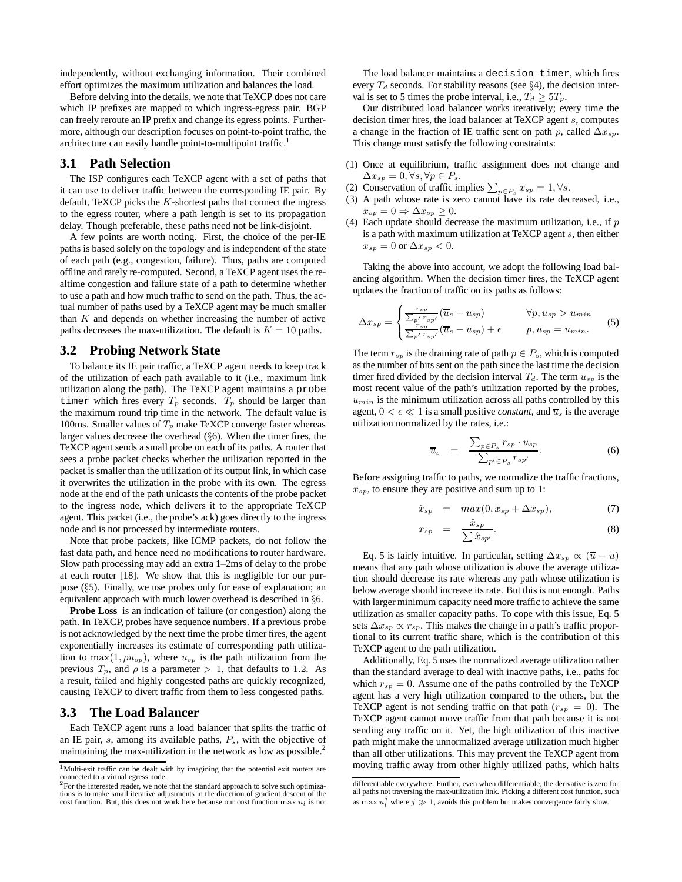independently, without exchanging information. Their combined effort optimizes the maximum utilization and balances the load.

Before delving into the details, we note that TeXCP does not care which IP prefixes are mapped to which ingress-egress pair. BGP can freely reroute an IP prefix and change its egress points. Furthermore, although our description focuses on point-to-point traffic, the architecture can easily handle point-to-multipoint traffic.<sup>1</sup>

## **3.1 Path Selection**

The ISP configures each TeXCP agent with a set of paths that it can use to deliver traffic between the corresponding IE pair. By default, TeXCP picks the  $K$ -shortest paths that connect the ingress to the egress router, where a path length is set to its propagation delay. Though preferable, these paths need not be link-disjoint.

A few points are worth noting. First, the choice of the per-IE paths is based solely on the topology and is independent of the state of each path (e.g., congestion, failure). Thus, paths are computed offline and rarely re-computed. Second, a TeXCP agent uses the realtime congestion and failure state of a path to determine whether to use a path and how much traffic to send on the path. Thus, the actual number of paths used by a TeXCP agent may be much smaller than  $K$  and depends on whether increasing the number of active paths decreases the max-utilization. The default is  $K = 10$  paths.

#### **3.2 Probing Network State**

To balance its IE pair traffic, a TeXCP agent needs to keep track of the utilization of each path available to it (i.e., maximum link utilization along the path). The TeXCP agent maintains a probe timer which fires every  $T_p$  seconds.  $T_p$  should be larger than the maximum round trip time in the network. The default value is 100ms. Smaller values of  $T_p$  make TeXCP converge faster whereas larger values decrease the overhead (§6). When the timer fires, the TeXCP agent sends a small probe on each of its paths. A router that sees a probe packet checks whether the utilization reported in the packet is smaller than the utilization of its output link, in which case it overwrites the utilization in the probe with its own. The egress node at the end of the path unicasts the contents of the probe packet to the ingress node, which delivers it to the appropriate TeXCP agent. This packet (i.e., the probe's ack) goes directly to the ingress node and is not processed by intermediate routers.

Note that probe packets, like ICMP packets, do not follow the fast data path, and hence need no modifications to router hardware. Slow path processing may add an extra 1–2ms of delay to the probe at each router [18]. We show that this is negligible for our purpose (§5). Finally, we use probes only for ease of explanation; an equivalent approach with much lower overhead is described in §6.

**Probe Loss** is an indication of failure (or congestion) along the path. In TeXCP, probes have sequence numbers. If a previous probe is not acknowledged by the next time the probe timer fires, the agent exponentially increases its estimate of corresponding path utilization to  $\max(1, \rho u_{sp})$ , where  $u_{sp}$  is the path utilization from the previous  $T_p$ , and  $\rho$  is a parameter  $> 1$ , that defaults to 1.2. As a result, failed and highly congested paths are quickly recognized, causing TeXCP to divert traffic from them to less congested paths.

#### **3.3 The Load Balancer**

Each TeXCP agent runs a load balancer that splits the traffic of an IE pair, s, among its available paths,  $P_s$ , with the objective of maintaining the max-utilization in the network as low as possible.<sup>2</sup>

The load balancer maintains a decision timer, which fires every  $T_d$  seconds. For stability reasons (see §4), the decision interval is set to 5 times the probe interval, i.e.,  $T_d \ge 5T_p$ .

Our distributed load balancer works iteratively; every time the decision timer fires, the load balancer at TeXCP agent s, computes a change in the fraction of IE traffic sent on path p, called  $\Delta x_{sp}$ . This change must satisfy the following constraints:

- (1) Once at equilibrium, traffic assignment does not change and  $\Delta x_{sp} = 0, \forall s, \forall p \in P_s.$
- (2) Conservation of traffic implies  $\sum_{p \in P_s} x_{sp} = 1, \forall s$ .
- (3) A path whose rate is zero cannot have its rate decreased, i.e.,  $x_{sp} = 0 \Rightarrow \Delta x_{sp} \geq 0.$
- (4) Each update should decrease the maximum utilization, i.e., if  $p$ is a path with maximum utilization at TeXCP agent s, then either  $x_{sp} = 0$  or  $\Delta x_{sp} < 0$ .

Taking the above into account, we adopt the following load balancing algorithm. When the decision timer fires, the TeXCP agent updates the fraction of traffic on its paths as follows:

$$
\Delta x_{sp} = \begin{cases} \frac{r_{sp}}{\sum_{p'} r_{sp'}} (\overline{u}_s - u_{sp}) & \forall p, u_{sp} > u_{min} \\ \frac{r_{sp}}{\sum_{p'} r_{sp'}} (\overline{u}_s - u_{sp}) + \epsilon & p, u_{sp} = u_{min}. \end{cases}
$$
(5)

The term  $r_{sp}$  is the draining rate of path  $p \in P_s$ , which is computed as the number of bits sent on the path since the last time the decision timer fired divided by the decision interval  $T_d$ . The term  $u_{sp}$  is the most recent value of the path's utilization reported by the probes,  $u_{min}$  is the minimum utilization across all paths controlled by this agent,  $0 < \epsilon \ll 1$  is a small positive *constant*, and  $\overline{u}_s$  is the average utilization normalized by the rates, i.e.:

$$
\overline{u}_s = \frac{\sum_{p \in P_s} r_{sp} \cdot u_{sp}}{\sum_{p' \in P_s} r_{sp'}}.
$$
\n(6)

Before assigning traffic to paths, we normalize the traffic fractions,  $x_{sp}$ , to ensure they are positive and sum up to 1:

$$
\hat{x}_{sp} = max(0, x_{sp} + \Delta x_{sp}), \qquad (7)
$$

$$
x_{sp} = \frac{\hat{x}_{sp}}{\sum \hat{x}_{sp'}}.
$$
 (8)

Eq. 5 is fairly intuitive. In particular, setting  $\Delta x_{sp} \propto (\overline{u} - u)$ means that any path whose utilization is above the average utilization should decrease its rate whereas any path whose utilization is below average should increase its rate. But this is not enough. Paths with larger minimum capacity need more traffic to achieve the same utilization as smaller capacity paths. To cope with this issue, Eq. 5 sets  $\Delta x_{sp} \propto r_{sp}$ . This makes the change in a path's traffic proportional to its current traffic share, which is the contribution of this TeXCP agent to the path utilization.

Additionally, Eq. 5 uses the normalized average utilization rather than the standard average to deal with inactive paths, i.e., paths for which  $r_{sp} = 0$ . Assume one of the paths controlled by the TeXCP agent has a very high utilization compared to the others, but the TeXCP agent is not sending traffic on that path ( $r_{sp} = 0$ ). The TeXCP agent cannot move traffic from that path because it is not sending any traffic on it. Yet, the high utilization of this inactive path might make the unnormalized average utilization much higher than all other utilizations. This may prevent the TeXCP agent from moving traffic away from other highly utilized paths, which halts

 $1$ Multi-exit traffic can be dealt with by imagining that the potential exit routers are connected to a virtual egress node.

<sup>&</sup>lt;sup>2</sup>For the interested reader, we note that the standard approach to solve such optimizations is to make small iterative adjustments in the direction of gradient descent of the cost function. But, this does not work here because our cost function  $\max u_i$  is not

differentiable everywhere. Further, even when differentiable, the derivative is zero for all paths not traversing the max-utilization link. Picking a different cost function, such as max  $u_l^j$  where  $j \gg 1$ , avoids this problem but makes convergence fairly slow.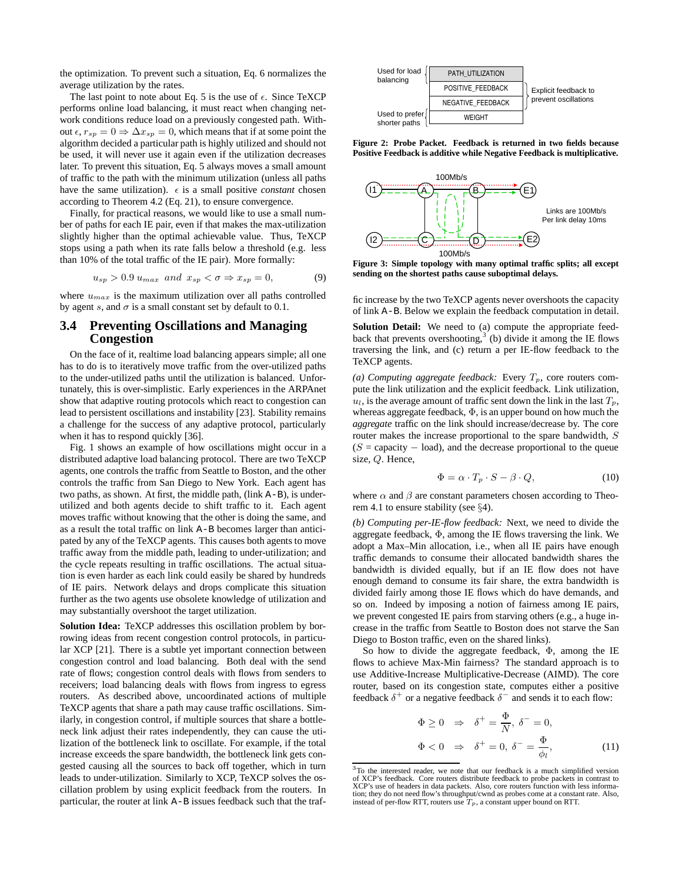the optimization. To prevent such a situation, Eq. 6 normalizes the average utilization by the rates.

The last point to note about Eq. 5 is the use of  $\epsilon$ . Since TeXCP performs online load balancing, it must react when changing network conditions reduce load on a previously congested path. Without  $\epsilon$ ,  $r_{sp} = 0 \Rightarrow \Delta x_{sp} = 0$ , which means that if at some point the algorithm decided a particular path is highly utilized and should not be used, it will never use it again even if the utilization decreases later. To prevent this situation, Eq. 5 always moves a small amount of traffic to the path with the minimum utilization (unless all paths have the same utilization).  $\epsilon$  is a small positive *constant* chosen according to Theorem 4.2 (Eq. 21), to ensure convergence.

Finally, for practical reasons, we would like to use a small number of paths for each IE pair, even if that makes the max-utilization slightly higher than the optimal achievable value. Thus, TeXCP stops using a path when its rate falls below a threshold (e.g. less than 10% of the total traffic of the IE pair). More formally:

$$
u_{sp} > 0.9 u_{max} \text{ and } x_{sp} < \sigma \Rightarrow x_{sp} = 0,
$$
 (9)

where  $u_{max}$  is the maximum utilization over all paths controlled by agent s, and  $\sigma$  is a small constant set by default to 0.1.

#### **3.4 Preventing Oscillations and Managing Congestion**

On the face of it, realtime load balancing appears simple; all one has to do is to iteratively move traffic from the over-utilized paths to the under-utilized paths until the utilization is balanced. Unfortunately, this is over-simplistic. Early experiences in the ARPAnet show that adaptive routing protocols which react to congestion can lead to persistent oscillations and instability [23]. Stability remains a challenge for the success of any adaptive protocol, particularly when it has to respond quickly [36].

Fig. 1 shows an example of how oscillations might occur in a distributed adaptive load balancing protocol. There are two TeXCP agents, one controls the traffic from Seattle to Boston, and the other controls the traffic from San Diego to New York. Each agent has two paths, as shown. At first, the middle path, (link A-B), is underutilized and both agents decide to shift traffic to it. Each agent moves traffic without knowing that the other is doing the same, and as a result the total traffic on link A-B becomes larger than anticipated by any of the TeXCP agents. This causes both agents to move traffic away from the middle path, leading to under-utilization; and the cycle repeats resulting in traffic oscillations. The actual situation is even harder as each link could easily be shared by hundreds of IE pairs. Network delays and drops complicate this situation further as the two agents use obsolete knowledge of utilization and may substantially overshoot the target utilization.

**Solution Idea:** TeXCP addresses this oscillation problem by borrowing ideas from recent congestion control protocols, in particular XCP [21]. There is a subtle yet important connection between congestion control and load balancing. Both deal with the send rate of flows; congestion control deals with flows from senders to receivers; load balancing deals with flows from ingress to egress routers. As described above, uncoordinated actions of multiple TeXCP agents that share a path may cause traffic oscillations. Similarly, in congestion control, if multiple sources that share a bottleneck link adjust their rates independently, they can cause the utilization of the bottleneck link to oscillate. For example, if the total increase exceeds the spare bandwidth, the bottleneck link gets congested causing all the sources to back off together, which in turn leads to under-utilization. Similarly to XCP, TeXCP solves the oscillation problem by using explicit feedback from the routers. In particular, the router at link A-B issues feedback such that the traf-



**Figure 2: Probe Packet. Feedback is returned in two fields because Positive Feedback is additive while Negative Feedback is multiplicative.**



**Figure 3: Simple topology with many optimal traffic splits; all except sending on the shortest paths cause suboptimal delays.**

fic increase by the two TeXCP agents never overshoots the capacity of link A-B. Below we explain the feedback computation in detail.

**Solution Detail:** We need to (a) compute the appropriate feedback that prevents overshooting,<sup>3</sup> (b) divide it among the IE flows traversing the link, and (c) return a per IE-flow feedback to the TeXCP agents.

*(a) Computing aggregate feedback:* Every  $T_p$ , core routers compute the link utilization and the explicit feedback. Link utilization,  $u_l$ , is the average amount of traffic sent down the link in the last  $T_p$ , whereas aggregate feedback, Φ, is an upper bound on how much the *aggregate* traffic on the link should increase/decrease by. The core router makes the increase proportional to the spare bandwidth, S  $(S = \text{capacity} - \text{load})$ , and the decrease proportional to the queue size, Q. Hence,

$$
\Phi = \alpha \cdot T_p \cdot S - \beta \cdot Q,\tag{10}
$$

where  $\alpha$  and  $\beta$  are constant parameters chosen according to Theorem 4.1 to ensure stability (see §4).

*(b) Computing per-IE-flow feedback:* Next, we need to divide the aggregate feedback, Φ, among the IE flows traversing the link. We adopt a Max–Min allocation, i.e., when all IE pairs have enough traffic demands to consume their allocated bandwidth shares the bandwidth is divided equally, but if an IE flow does not have enough demand to consume its fair share, the extra bandwidth is divided fairly among those IE flows which do have demands, and so on. Indeed by imposing a notion of fairness among IE pairs, we prevent congested IE pairs from starving others (e.g., a huge increase in the traffic from Seattle to Boston does not starve the San Diego to Boston traffic, even on the shared links).

So how to divide the aggregate feedback,  $\Phi$ , among the IE flows to achieve Max-Min fairness? The standard approach is to use Additive-Increase Multiplicative-Decrease (AIMD). The core router, based on its congestion state, computes either a positive feedback  $\delta^+$  or a negative feedback  $\delta^-$  and sends it to each flow:

$$
\Phi \ge 0 \Rightarrow \delta^+ = \frac{\Phi}{N}, \delta^- = 0,
$$
  

$$
\Phi < 0 \Rightarrow \delta^+ = 0, \delta^- = \frac{\Phi}{\phi_l},
$$
 (11)

<sup>&</sup>lt;sup>3</sup>To the interested reader, we note that our feedback is a much simplified version of XCP's feedback. Core routers distribute feedback to probe packets in contrast to XCP's use of headers in data packets. Also, core routers function with less informa-tion; they do not need flow's throughput/cwnd as probes come at a constant rate. Also, instead of per-flow RTT, routers use  $T_p$ , a constant upper bound on RTT.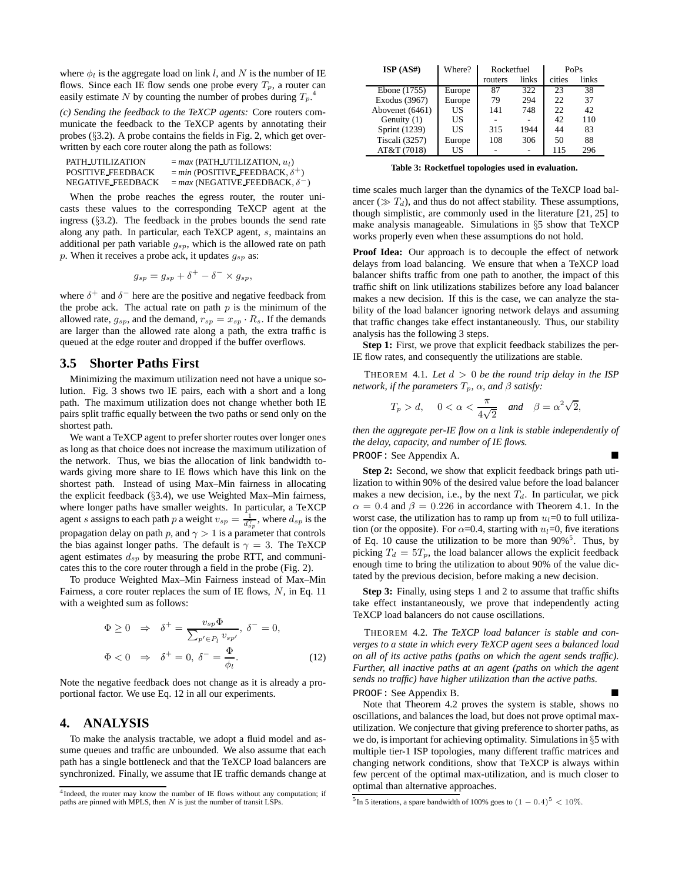where  $\phi_l$  is the aggregate load on link l, and N is the number of IE flows. Since each IE flow sends one probe every  $T_p$ , a router can easily estimate N by counting the number of probes during  $T_p$ .<sup>4</sup>

*(c) Sending the feedback to the TeXCP agents:* Core routers communicate the feedback to the TeXCP agents by annotating their probes (§3.2). A probe contains the fields in Fig. 2, which get overwritten by each core router along the path as follows:

| PATH_UTILIZATION  | $= max$ (PATH_UTILIZATION, $u_1$ )       |
|-------------------|------------------------------------------|
| POSITIVE_FEEDBACK | $= min$ (POSITIVE FEEDBACK, $\delta^+$ ) |
| NEGATIVE_FEEDBACK | $= max$ (NEGATIVE FEEDBACK, $\delta^-$ ) |

When the probe reaches the egress router, the router unicasts these values to the corresponding TeXCP agent at the ingress (§3.2). The feedback in the probes bounds the send rate along any path. In particular, each TeXCP agent, s, maintains an additional per path variable  $g_{sp}$ , which is the allowed rate on path p. When it receives a probe ack, it updates  $g_{sp}$  as:

$$
g_{sp} = g_{sp} + \delta^+ - \delta^- \times g_{sp},
$$

where  $\delta^+$  and  $\delta^-$  here are the positive and negative feedback from the probe ack. The actual rate on path  $p$  is the minimum of the allowed rate,  $g_{sp}$ , and the demand,  $r_{sp} = x_{sp} \cdot R_s$ . If the demands are larger than the allowed rate along a path, the extra traffic is queued at the edge router and dropped if the buffer overflows.

#### **3.5 Shorter Paths First**

Minimizing the maximum utilization need not have a unique solution. Fig. 3 shows two IE pairs, each with a short and a long path. The maximum utilization does not change whether both IE pairs split traffic equally between the two paths or send only on the shortest path.

We want a TeXCP agent to prefer shorter routes over longer ones as long as that choice does not increase the maximum utilization of the network. Thus, we bias the allocation of link bandwidth towards giving more share to IE flows which have this link on the shortest path. Instead of using Max–Min fairness in allocating the explicit feedback (§3.4), we use Weighted Max–Min fairness, where longer paths have smaller weights. In particular, a TeXCP agent s assigns to each path p a weight  $v_{sp} = \frac{1}{d_{sp}^{S}}$ , where  $d_{sp}$  is the propagation delay on path p, and  $\gamma > 1$  is a parameter that controls the bias against longer paths. The default is  $\gamma = 3$ . The TeXCP agent estimates  $d_{sp}$  by measuring the probe RTT, and communicates this to the core router through a field in the probe (Fig. 2).

To produce Weighted Max–Min Fairness instead of Max–Min Fairness, a core router replaces the sum of IE flows,  $N$ , in Eq. 11 with a weighted sum as follows:

$$
\Phi \ge 0 \Rightarrow \delta^+ = \frac{v_{sp}\Phi}{\sum_{p' \in P_l} v_{sp'}}, \delta^- = 0,
$$
  

$$
\Phi < 0 \Rightarrow \delta^+ = 0, \delta^- = \frac{\Phi}{\phi_l}.
$$
 (12)

Note the negative feedback does not change as it is already a proportional factor. We use Eq. 12 in all our experiments.

#### **4. ANALYSIS**

To make the analysis tractable, we adopt a fluid model and assume queues and traffic are unbounded. We also assume that each path has a single bottleneck and that the TeXCP load balancers are synchronized. Finally, we assume that IE traffic demands change at

| ISP(AS#)              | Where?<br>Rocketfuel<br>PoPs |         |       |        |       |
|-----------------------|------------------------------|---------|-------|--------|-------|
|                       |                              | routers | links | cities | links |
| Ebone (1755)          | Europe                       | 87      | 322   | 23     | 38    |
| Exodus (3967)         | Europe                       | 79      | 294   | 22     | 37    |
| Abovenet (6461)       | US                           | 141     | 748   | 22     | 42    |
| Genuity (1)           | US                           |         |       | 42     | 110   |
| Sprint (1239)         | US                           | 315     | 1944  | 44     | 83    |
| <b>Tiscali</b> (3257) | Europe                       | 108     | 306   | 50     | 88    |
| AT&T (7018)           | US                           |         |       | 115    | 296   |

**Table 3: Rocketfuel topologies used in evaluation.**

time scales much larger than the dynamics of the TeXCP load balancer ( $\gg T_d$ ), and thus do not affect stability. These assumptions, though simplistic, are commonly used in the literature [21, 25] to make analysis manageable. Simulations in §5 show that TeXCP works properly even when these assumptions do not hold.

**Proof Idea:** Our approach is to decouple the effect of network delays from load balancing. We ensure that when a TeXCP load balancer shifts traffic from one path to another, the impact of this traffic shift on link utilizations stabilizes before any load balancer makes a new decision. If this is the case, we can analyze the stability of the load balancer ignoring network delays and assuming that traffic changes take effect instantaneously. Thus, our stability analysis has the following 3 steps.

**Step 1:** First, we prove that explicit feedback stabilizes the per-IE flow rates, and consequently the utilizations are stable.

THEOREM 4.1. Let  $d > 0$  be the round trip delay in the ISP *network, if the parameters*  $T_p$ ,  $\alpha$ *, and*  $\beta$  *satisfy*:

$$
T_p > d
$$
,  $0 < \alpha < \frac{\pi}{4\sqrt{2}}$  and  $\beta = \alpha^2\sqrt{2}$ ,

*then the aggregate per-IE flow on a link is stable independently of the delay, capacity, and number of IE flows.*

PROOF: See Appendix A.

**Step 2:** Second, we show that explicit feedback brings path utilization to within 90% of the desired value before the load balancer makes a new decision, i.e., by the next  $T_d$ . In particular, we pick  $\alpha = 0.4$  and  $\beta = 0.226$  in accordance with Theorem 4.1. In the worst case, the utilization has to ramp up from  $u_l=0$  to full utilization (or the opposite). For  $\alpha$ =0.4, starting with  $u_l$ =0, five iterations of Eq. 10 cause the utilization to be more than  $90\%$ <sup>5</sup>. Thus, by picking  $T_d = 5T_p$ , the load balancer allows the explicit feedback enough time to bring the utilization to about 90% of the value dictated by the previous decision, before making a new decision.

**Step 3:** Finally, using steps 1 and 2 to assume that traffic shifts take effect instantaneously, we prove that independently acting TeXCP load balancers do not cause oscillations.

THEOREM 4.2. *The TeXCP load balancer is stable and converges to a state in which every TeXCP agent sees a balanced load on all of its active paths (paths on which the agent sends traffic). Further, all inactive paths at an agent (paths on which the agent sends no traffic) have higher utilization than the active paths.* PROOF: See Appendix B.

Note that Theorem 4.2 proves the system is stable, shows no oscillations, and balances the load, but does not prove optimal maxutilization. We conjecture that giving preference to shorter paths, as we do, is important for achieving optimality. Simulations in §5 with multiple tier-1 ISP topologies, many different traffic matrices and changing network conditions, show that TeXCP is always within few percent of the optimal max-utilization, and is much closer to optimal than alternative approaches.

<sup>&</sup>lt;sup>4</sup>Indeed, the router may know the number of IE flows without any computation; if paths are pinned with MPLS, then  $N$  is just the number of transit LSPs.

<sup>&</sup>lt;sup>5</sup>In 5 iterations, a spare bandwidth of 100% goes to  $(1 - 0.4)^5 < 10\%$ .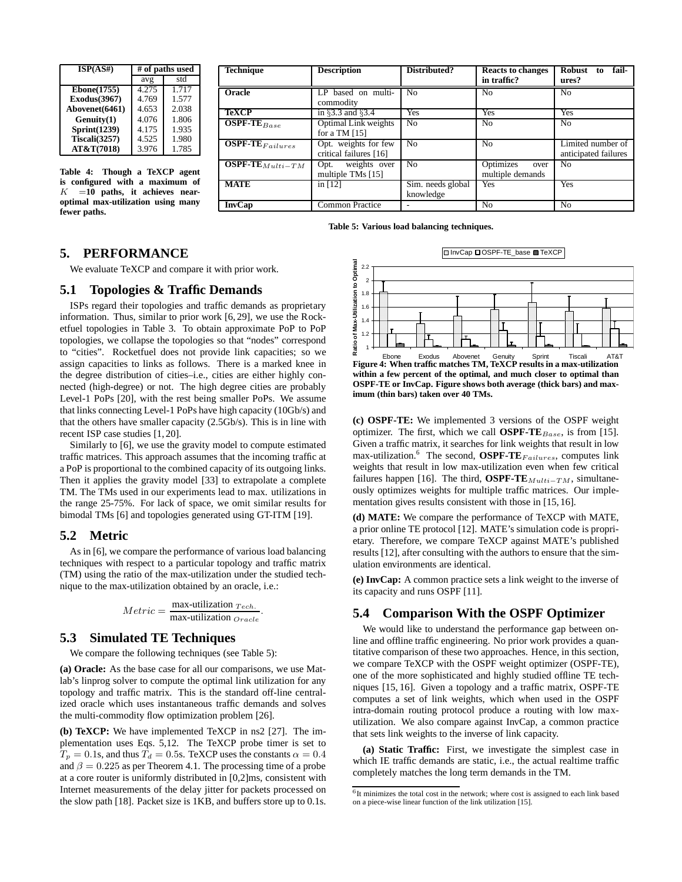| ISP(AS#)       | # of paths used |       |  |
|----------------|-----------------|-------|--|
|                | avg             | std   |  |
| Ebone(1755)    | 4.275           | 1.717 |  |
| Exodus(3967)   | 4.769           | 1.577 |  |
| Abovenet(6461) | 4.653           | 2.038 |  |
| Genuity(1)     | 4.076           | 1.806 |  |
| Sprint(1239)   | 4.175           | 1.935 |  |
| Tiscali(3257)  | 4.525           | 1.980 |  |
| AT&T(7018)     | 3.976           | 1.785 |  |

**Table 4: Though a TeXCP agent is configured with a maximum of**  $K = 10$  paths, it achieves near**optimal max-utilization using many fewer paths.**

| <b>Technique</b>                         | <b>Description</b>                             | Distributed?                   | <b>Reacts to changes</b><br>in traffic? | fail-<br><b>Robust</b><br>to<br>ures?     |
|------------------------------------------|------------------------------------------------|--------------------------------|-----------------------------------------|-------------------------------------------|
| Oracle                                   | LP based on multi-<br>commodity                | N <sub>0</sub>                 | N <sub>0</sub>                          | N <sub>0</sub>                            |
| <b>TeXCP</b>                             | in $\S 3.3$ and $\S 3.4$                       | Yes                            | Yes                                     | Yes                                       |
| $\overline{\textbf{OSPF-TE}_{Base}}$     | Optimal Link weights<br>for a TM $[15]$        | N <sub>0</sub>                 | No                                      | No                                        |
| $\overline{\text{OSPF-TE}_{Fairures}}$   | Opt. weights for few<br>critical failures [16] | N <sub>0</sub>                 | N <sub>0</sub>                          | Limited number of<br>anticipated failures |
| $\overline{\textbf{OSPF-TE}_{Multi-TM}}$ | weights over<br>Opt.<br>multiple TMs [15]      | N <sub>0</sub>                 | Optimizes<br>over<br>multiple demands   | N <sub>0</sub>                            |
| <b>MATE</b>                              | in $[12]$                                      | Sim. needs global<br>knowledge | Yes                                     | Yes                                       |
| <b>InvCap</b>                            | <b>Common Practice</b>                         |                                | No                                      | N <sub>0</sub>                            |

**Table 5: Various load balancing techniques.**

#### **5. PERFORMANCE**

We evaluate TeXCP and compare it with prior work.

#### **5.1 Topologies & Traffic Demands**

ISPs regard their topologies and traffic demands as proprietary information. Thus, similar to prior work [6, 29], we use the Rocketfuel topologies in Table 3. To obtain approximate PoP to PoP topologies, we collapse the topologies so that "nodes" correspond to "cities". Rocketfuel does not provide link capacities; so we assign capacities to links as follows. There is a marked knee in the degree distribution of cities–i.e., cities are either highly connected (high-degree) or not. The high degree cities are probably Level-1 PoPs [20], with the rest being smaller PoPs. We assume that links connecting Level-1 PoPs have high capacity (10Gb/s) and that the others have smaller capacity (2.5Gb/s). This is in line with recent ISP case studies [1, 20].

Similarly to [6], we use the gravity model to compute estimated traffic matrices. This approach assumes that the incoming traffic at a PoP is proportional to the combined capacity of its outgoing links. Then it applies the gravity model [33] to extrapolate a complete TM. The TMs used in our experiments lead to max. utilizations in the range 25-75%. For lack of space, we omit similar results for bimodal TMs [6] and topologies generated using GT-ITM [19].

#### **5.2 Metric**

As in [6], we compare the performance of various load balancing techniques with respect to a particular topology and traffic matrix (TM) using the ratio of the max-utilization under the studied technique to the max-utilization obtained by an oracle, i.e.:

$$
Metric = \frac{\text{max-utilization }_{\text{Tech.}}}{\text{max-utilization }_{\text{Oracle}}}.
$$

#### **5.3 Simulated TE Techniques**

We compare the following techniques (see Table 5):

**(a) Oracle:** As the base case for all our comparisons, we use Matlab's linprog solver to compute the optimal link utilization for any topology and traffic matrix. This is the standard off-line centralized oracle which uses instantaneous traffic demands and solves the multi-commodity flow optimization problem [26].

**(b) TeXCP:** We have implemented TeXCP in ns2 [27]. The implementation uses Eqs. 5,12. The TeXCP probe timer is set to  $T_p = 0.1$ s, and thus  $T_d = 0.5$ s. TeXCP uses the constants  $\alpha = 0.4$ and  $\beta = 0.225$  as per Theorem 4.1. The processing time of a probe at a core router is uniformly distributed in [0,2]ms, consistent with Internet measurements of the delay jitter for packets processed on the slow path [18]. Packet size is 1KB, and buffers store up to 0.1s.



Ebone Exodus Abovenet Genuity Sprint Tiscali AT&T **Figure 4: When traffic matches TM, TeXCP results in a max-utilization within a few percent of the optimal, and much closer to optimal than OSPF-TE or InvCap. Figure shows both average (thick bars) and maximum (thin bars) taken over 40 TMs.**

**(c) OSPF-TE:** We implemented 3 versions of the OSPF weight optimizer. The first, which we call  $OSPF-TE_{Base}$ , is from [15]. Given a traffic matrix, it searches for link weights that result in low max-utilization.<sup>6</sup> The second, **OSPF-TE**<sub>Failures</sub>, computes link weights that result in low max-utilization even when few critical failures happen [16]. The third, **OSPF-TE** $_{Multi-TM}$ , simultaneously optimizes weights for multiple traffic matrices. Our implementation gives results consistent with those in [15, 16].

**(d) MATE:** We compare the performance of TeXCP with MATE, a prior online TE protocol [12]. MATE's simulation code is proprietary. Therefore, we compare TeXCP against MATE's published results [12], after consulting with the authors to ensure that the simulation environments are identical.

**(e) InvCap:** A common practice sets a link weight to the inverse of its capacity and runs OSPF [11].

#### **5.4 Comparison With the OSPF Optimizer**

We would like to understand the performance gap between online and offline traffic engineering. No prior work provides a quantitative comparison of these two approaches. Hence, in this section, we compare TeXCP with the OSPF weight optimizer (OSPF-TE), one of the more sophisticated and highly studied offline TE techniques [15, 16]. Given a topology and a traffic matrix, OSPF-TE computes a set of link weights, which when used in the OSPF intra-domain routing protocol produce a routing with low maxutilization. We also compare against InvCap, a common practice that sets link weights to the inverse of link capacity.

**(a) Static Traffic:** First, we investigate the simplest case in which IE traffic demands are static, i.e., the actual realtime traffic completely matches the long term demands in the TM.

 ${}^{6}$ It minimizes the total cost in the network; where cost is assigned to each link based on a piece-wise linear function of the link utilization [15].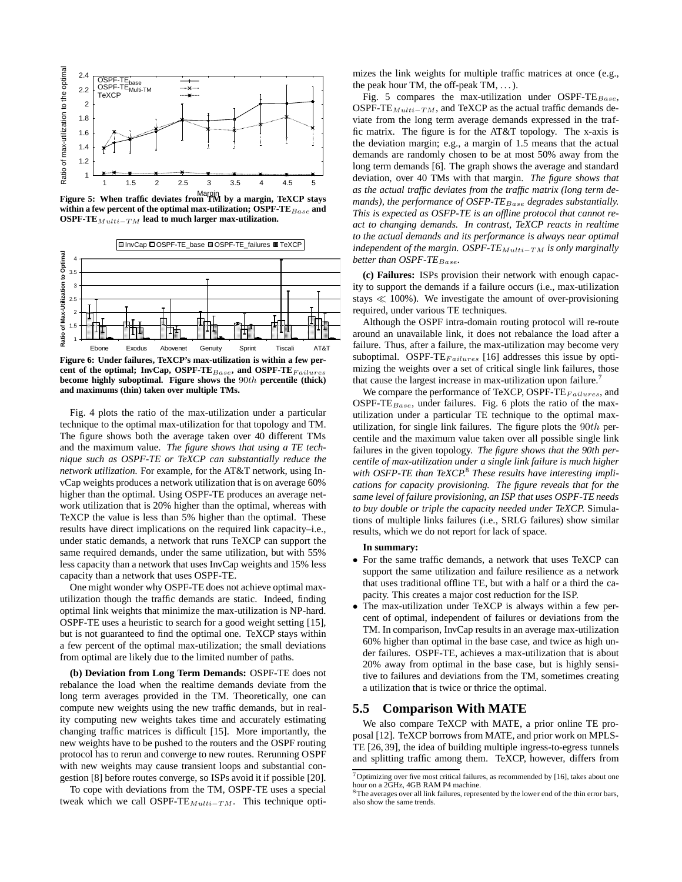

Margin **Figure 5: When traffic deviates from TM by a margin, TeXCP stays** within a few percent of the optimal max-utilization;  $\mathbf{OSPF-TE}_{Base}$  and **OSPF-TE**<sub>Multi−TM</sub> lead to much larger max-utilization.



**Figure 6: Under failures, TeXCP's max-utilization is within a few per**cent of the optimal; InvCap, OSPF-TE<sub>Base</sub>, and OSPF-TE<sub>Failures</sub> **become highly suboptimal. Figure shows the** 90th **percentile (thick) and maximums (thin) taken over multiple TMs.**

Fig. 4 plots the ratio of the max-utilization under a particular technique to the optimal max-utilization for that topology and TM. The figure shows both the average taken over 40 different TMs and the maximum value. *The figure shows that using a TE technique such as OSPF-TE or TeXCP can substantially reduce the network utilization.* For example, for the AT&T network, using InvCap weights produces a network utilization that is on average 60% higher than the optimal. Using OSPF-TE produces an average network utilization that is 20% higher than the optimal, whereas with TeXCP the value is less than 5% higher than the optimal. These results have direct implications on the required link capacity–i.e., under static demands, a network that runs TeXCP can support the same required demands, under the same utilization, but with 55% less capacity than a network that uses InvCap weights and 15% less capacity than a network that uses OSPF-TE.

One might wonder why OSPF-TE does not achieve optimal maxutilization though the traffic demands are static. Indeed, finding optimal link weights that minimize the max-utilization is NP-hard. OSPF-TE uses a heuristic to search for a good weight setting [15], but is not guaranteed to find the optimal one. TeXCP stays within a few percent of the optimal max-utilization; the small deviations from optimal are likely due to the limited number of paths.

**(b) Deviation from Long Term Demands:** OSPF-TE does not rebalance the load when the realtime demands deviate from the long term averages provided in the TM. Theoretically, one can compute new weights using the new traffic demands, but in reality computing new weights takes time and accurately estimating changing traffic matrices is difficult [15]. More importantly, the new weights have to be pushed to the routers and the OSPF routing protocol has to rerun and converge to new routes. Rerunning OSPF with new weights may cause transient loops and substantial congestion [8] before routes converge, so ISPs avoid it if possible [20].

To cope with deviations from the TM, OSPF-TE uses a special tweak which we call OSPF-TE $_{Multi-TM}$ . This technique optimizes the link weights for multiple traffic matrices at once (e.g., the peak hour TM, the off-peak  $TM, \ldots$ ).

Fig. 5 compares the max-utilization under OSPF-TE $_{Base}$ , OSPF-TE $_{Multi-TM}$ , and TeXCP as the actual traffic demands deviate from the long term average demands expressed in the traffic matrix. The figure is for the AT&T topology. The x-axis is the deviation margin; e.g., a margin of 1.5 means that the actual demands are randomly chosen to be at most 50% away from the long term demands [6]. The graph shows the average and standard deviation, over 40 TMs with that margin. *The figure shows that as the actual traffic deviates from the traffic matrix (long term demands), the performance of OSFP-TE*<sub>Base</sub> *degrades substantially. This is expected as OSFP-TE is an offline protocol that cannot react to changing demands. In contrast, TeXCP reacts in realtime to the actual demands and its performance is always near optimal independent of the margin. OSPF-TE<sub>Multi−TM</sub> is only marginally better than OSPF-TE*<sub>Base</sub>.

**(c) Failures:** ISPs provision their network with enough capacity to support the demands if a failure occurs (i.e., max-utilization stays  $\ll 100\%$ ). We investigate the amount of over-provisioning required, under various TE techniques.

Although the OSPF intra-domain routing protocol will re-route around an unavailable link, it does not rebalance the load after a failure. Thus, after a failure, the max-utilization may become very suboptimal. OSPF-T $E_{F\alpha i lures}$  [16] addresses this issue by optimizing the weights over a set of critical single link failures, those that cause the largest increase in max-utilization upon failure.<sup>7</sup>

We compare the performance of TeXCP, OSPF-TE $_{F\ ailures}$ , and  $OSPF-TE_{Base}$ , under failures. Fig. 6 plots the ratio of the maxutilization under a particular TE technique to the optimal maxutilization, for single link failures. The figure plots the  $90th$  percentile and the maximum value taken over all possible single link failures in the given topology. *The figure shows that the 90th percentile of max-utilization under a single link failure is much higher with OSFP-TE than TeXCP.*<sup>8</sup> *These results have interesting implications for capacity provisioning. The figure reveals that for the same level of failure provisioning, an ISP that uses OSPF-TE needs to buy double or triple the capacity needed under TeXCP.* Simulations of multiple links failures (i.e., SRLG failures) show similar results, which we do not report for lack of space.

#### **In summary:**

- For the same traffic demands, a network that uses TeXCP can support the same utilization and failure resilience as a network that uses traditional offline TE, but with a half or a third the capacity. This creates a major cost reduction for the ISP.
- The max-utilization under TeXCP is always within a few percent of optimal, independent of failures or deviations from the TM. In comparison, InvCap results in an average max-utilization 60% higher than optimal in the base case, and twice as high under failures. OSPF-TE, achieves a max-utilization that is about 20% away from optimal in the base case, but is highly sensitive to failures and deviations from the TM, sometimes creating a utilization that is twice or thrice the optimal.

#### **5.5 Comparison With MATE**

We also compare TeXCP with MATE, a prior online TE proposal [12]. TeXCP borrows from MATE, and prior work on MPLS-TE [26, 39], the idea of building multiple ingress-to-egress tunnels and splitting traffic among them. TeXCP, however, differs from

 $7$ Optimizing over five most critical failures, as recommended by [16], takes about one hour on a 2GHz, 4GB RAM P4 machine.

<sup>8</sup>The averages over all link failures, represented by the lower end of the thin error bars, also show the same trends.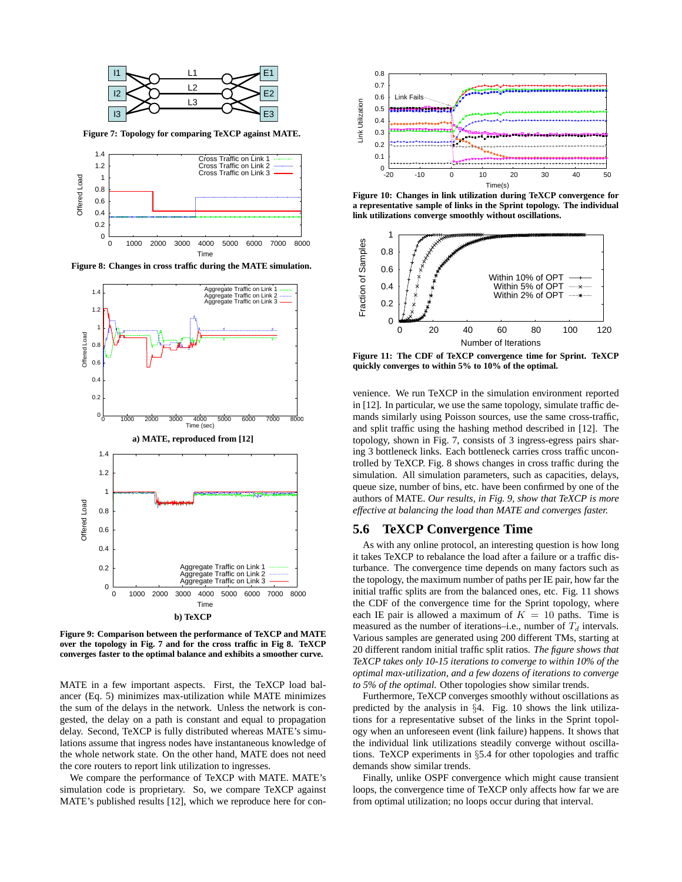

**Figure 7: Topology for comparing TeXCP against MATE.**



**Figure 8: Changes in cross traffic during the MATE simulation.**



**Figure 9: Comparison between the performance of TeXCP and MATE over the topology in Fig. 7 and for the cross traffic in Fig 8. TeXCP converges faster to the optimal balance and exhibits a smoother curve.**

MATE in a few important aspects. First, the TeXCP load balancer (Eq. 5) minimizes max-utilization while MATE minimizes the sum of the delays in the network. Unless the network is congested, the delay on a path is constant and equal to propagation delay. Second, TeXCP is fully distributed whereas MATE's simulations assume that ingress nodes have instantaneous knowledge of the whole network state. On the other hand, MATE does not need the core routers to report link utilization to ingresses.

We compare the performance of TeXCP with MATE. MATE's simulation code is proprietary. So, we compare TeXCP against MATE's published results [12], which we reproduce here for con-



**Figure 10: Changes in link utilization during TeXCP convergence for a representative sample of links in the Sprint topology. The individual link utilizations converge smoothly without oscillations.**



**Figure 11: The CDF of TeXCP convergence time for Sprint. TeXCP quickly converges to within 5% to 10% of the optimal.**

venience. We run TeXCP in the simulation environment reported in [12]. In particular, we use the same topology, simulate traffic demands similarly using Poisson sources, use the same cross-traffic, and split traffic using the hashing method described in [12]. The topology, shown in Fig. 7, consists of 3 ingress-egress pairs sharing 3 bottleneck links. Each bottleneck carries cross traffic uncontrolled by TeXCP. Fig. 8 shows changes in cross traffic during the simulation. All simulation parameters, such as capacities, delays, queue size, number of bins, etc. have been confirmed by one of the authors of MATE. *Our results, in Fig. 9, show that TeXCP is more effective at balancing the load than MATE and converges faster.*

#### **5.6 TeXCP Convergence Time**

As with any online protocol, an interesting question is how long it takes TeXCP to rebalance the load after a failure or a traffic disturbance. The convergence time depends on many factors such as the topology, the maximum number of paths per IE pair, how far the initial traffic splits are from the balanced ones, etc. Fig. 11 shows the CDF of the convergence time for the Sprint topology, where each IE pair is allowed a maximum of  $K = 10$  paths. Time is measured as the number of iterations–i.e., number of  $T_d$  intervals. Various samples are generated using 200 different TMs, starting at 20 different random initial traffic split ratios. *The figure shows that TeXCP takes only 10-15 iterations to converge to within 10% of the optimal max-utilization, and a few dozens of iterations to converge to 5% of the optimal.* Other topologies show similar trends.

Furthermore, TeXCP converges smoothly without oscillations as predicted by the analysis in §4. Fig. 10 shows the link utilizations for a representative subset of the links in the Sprint topology when an unforeseen event (link failure) happens. It shows that the individual link utilizations steadily converge without oscillations. TeXCP experiments in §5.4 for other topologies and traffic demands show similar trends.

Finally, unlike OSPF convergence which might cause transient loops, the convergence time of TeXCP only affects how far we are from optimal utilization; no loops occur during that interval.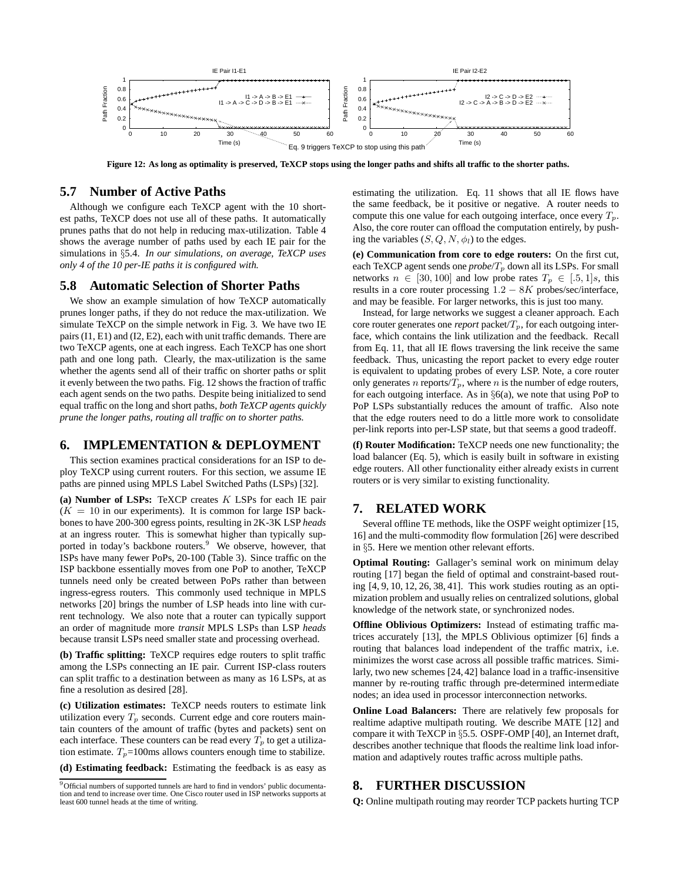

**Figure 12: As long as optimality is preserved, TeXCP stops using the longer paths and shifts all traffic to the shorter paths.**

#### **5.7 Number of Active Paths**

Although we configure each TeXCP agent with the 10 shortest paths, TeXCP does not use all of these paths. It automatically prunes paths that do not help in reducing max-utilization. Table 4 shows the average number of paths used by each IE pair for the simulations in §5.4. *In our simulations, on average, TeXCP uses only 4 of the 10 per-IE paths it is configured with.*

#### **5.8 Automatic Selection of Shorter Paths**

We show an example simulation of how TeXCP automatically prunes longer paths, if they do not reduce the max-utilization. We simulate TeXCP on the simple network in Fig. 3. We have two IE pairs (I1, E1) and (I2, E2), each with unit traffic demands. There are two TeXCP agents, one at each ingress. Each TeXCP has one short path and one long path. Clearly, the max-utilization is the same whether the agents send all of their traffic on shorter paths or split it evenly between the two paths. Fig. 12 shows the fraction of traffic each agent sends on the two paths. Despite being initialized to send equal traffic on the long and short paths, *both TeXCP agents quickly prune the longer paths, routing all traffic on to shorter paths.*

#### **6. IMPLEMENTATION & DEPLOYMENT**

This section examines practical considerations for an ISP to deploy TeXCP using current routers. For this section, we assume IE paths are pinned using MPLS Label Switched Paths (LSPs) [32].

**(a) Number of LSPs:** TeXCP creates K LSPs for each IE pair  $(K = 10$  in our experiments). It is common for large ISP backbones to have 200-300 egress points, resulting in 2K-3K LSP *heads* at an ingress router. This is somewhat higher than typically supported in today's backbone routers.<sup>9</sup> We observe, however, that ISPs have many fewer PoPs, 20-100 (Table 3). Since traffic on the ISP backbone essentially moves from one PoP to another, TeXCP tunnels need only be created between PoPs rather than between ingress-egress routers. This commonly used technique in MPLS networks [20] brings the number of LSP heads into line with current technology. We also note that a router can typically support an order of magnitude more *transit* MPLS LSPs than LSP *heads* because transit LSPs need smaller state and processing overhead.

**(b) Traffic splitting:** TeXCP requires edge routers to split traffic among the LSPs connecting an IE pair. Current ISP-class routers can split traffic to a destination between as many as 16 LSPs, at as fine a resolution as desired [28].

**(c) Utilization estimates:** TeXCP needs routers to estimate link utilization every  $T_p$  seconds. Current edge and core routers maintain counters of the amount of traffic (bytes and packets) sent on each interface. These counters can be read every  $T_p$  to get a utilization estimate.  $T_p$ =100ms allows counters enough time to stabilize.

**(d) Estimating feedback:** Estimating the feedback is as easy as

estimating the utilization. Eq. 11 shows that all IE flows have the same feedback, be it positive or negative. A router needs to compute this one value for each outgoing interface, once every  $T_p$ . Also, the core router can offload the computation entirely, by pushing the variables  $(S, Q, N, \phi_l)$  to the edges.

**(e) Communication from core to edge routers:** On the first cut, each TeXCP agent sends one  $probe/T_p$  down all its LSPs. For small networks  $n \in [30, 100]$  and low probe rates  $T_p \in [0.5, 1]$ s, this results in a core router processing  $1.2 - 8K$  probes/sec/interface, and may be feasible. For larger networks, this is just too many.

Instead, for large networks we suggest a cleaner approach. Each core router generates one *report* packet/ $T_p$ , for each outgoing interface, which contains the link utilization and the feedback. Recall from Eq. 11, that all IE flows traversing the link receive the same feedback. Thus, unicasting the report packet to every edge router is equivalent to updating probes of every LSP. Note, a core router only generates n reports/ $T_p$ , where n is the number of edge routers, for each outgoing interface. As in  $\S6(a)$ , we note that using PoP to PoP LSPs substantially reduces the amount of traffic. Also note that the edge routers need to do a little more work to consolidate per-link reports into per-LSP state, but that seems a good tradeoff.

**(f) Router Modification:** TeXCP needs one new functionality; the load balancer (Eq. 5), which is easily built in software in existing edge routers. All other functionality either already exists in current routers or is very similar to existing functionality.

## **7. RELATED WORK**

Several offline TE methods, like the OSPF weight optimizer [15, 16] and the multi-commodity flow formulation [26] were described in §5. Here we mention other relevant efforts.

**Optimal Routing:** Gallager's seminal work on minimum delay routing [17] began the field of optimal and constraint-based routing [4, 9, 10, 12, 26, 38, 41]. This work studies routing as an optimization problem and usually relies on centralized solutions, global knowledge of the network state, or synchronized nodes.

**Offline Oblivious Optimizers:** Instead of estimating traffic matrices accurately [13], the MPLS Oblivious optimizer [6] finds a routing that balances load independent of the traffic matrix, i.e. minimizes the worst case across all possible traffic matrices. Similarly, two new schemes [24,42] balance load in a traffic-insensitive manner by re-routing traffic through pre-determined intermediate nodes; an idea used in processor interconnection networks.

**Online Load Balancers:** There are relatively few proposals for realtime adaptive multipath routing. We describe MATE [12] and compare it with TeXCP in §5.5. OSPF-OMP [40], an Internet draft, describes another technique that floods the realtime link load information and adaptively routes traffic across multiple paths.

## **8. FURTHER DISCUSSION**

**Q:** Online multipath routing may reorder TCP packets hurting TCP

<sup>&</sup>lt;sup>9</sup>Official numbers of supported tunnels are hard to find in vendors' public documentation and tend to increase over time. One Cisco router used in ISP networks supports at least 600 tunnel heads at the time of writing.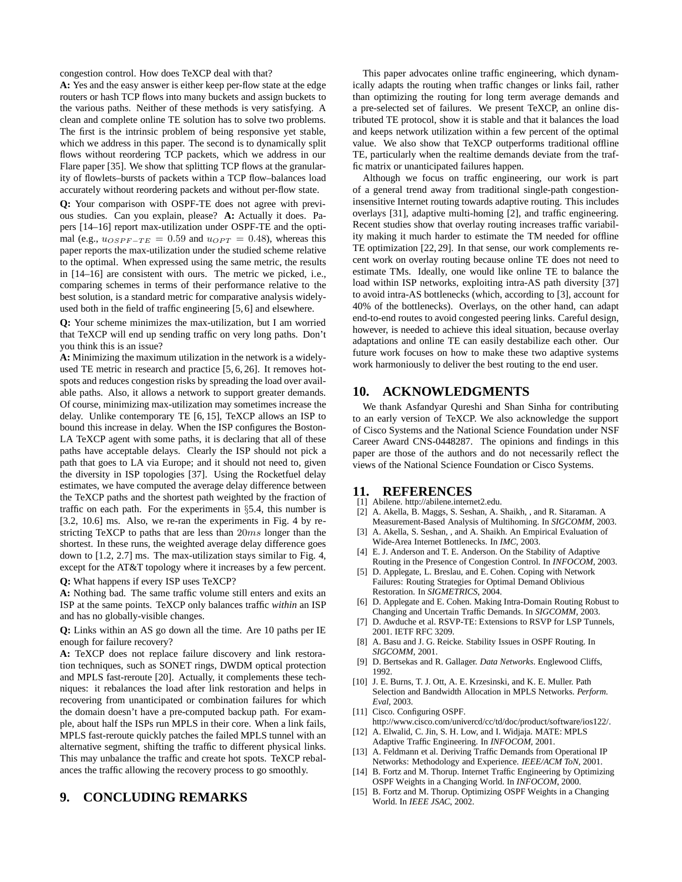congestion control. How does TeXCP deal with that?

**A:** Yes and the easy answer is either keep per-flow state at the edge routers or hash TCP flows into many buckets and assign buckets to the various paths. Neither of these methods is very satisfying. A clean and complete online TE solution has to solve two problems. The first is the intrinsic problem of being responsive yet stable, which we address in this paper. The second is to dynamically split flows without reordering TCP packets, which we address in our Flare paper [35]. We show that splitting TCP flows at the granularity of flowlets–bursts of packets within a TCP flow–balances load accurately without reordering packets and without per-flow state.

**Q:** Your comparison with OSPF-TE does not agree with previous studies. Can you explain, please? **A:** Actually it does. Papers [14–16] report max-utilization under OSPF-TE and the optimal (e.g.,  $u_{OSPF-TE} = 0.59$  and  $u_{OPT} = 0.48$ ), whereas this paper reports the max-utilization under the studied scheme relative to the optimal. When expressed using the same metric, the results in [14–16] are consistent with ours. The metric we picked, i.e., comparing schemes in terms of their performance relative to the best solution, is a standard metric for comparative analysis widelyused both in the field of traffic engineering [5, 6] and elsewhere.

**Q:** Your scheme minimizes the max-utilization, but I am worried that TeXCP will end up sending traffic on very long paths. Don't you think this is an issue?

**A:** Minimizing the maximum utilization in the network is a widelyused TE metric in research and practice [5, 6, 26]. It removes hotspots and reduces congestion risks by spreading the load over available paths. Also, it allows a network to support greater demands. Of course, minimizing max-utilization may sometimes increase the delay. Unlike contemporary TE [6, 15], TeXCP allows an ISP to bound this increase in delay. When the ISP configures the Boston-LA TeXCP agent with some paths, it is declaring that all of these paths have acceptable delays. Clearly the ISP should not pick a path that goes to LA via Europe; and it should not need to, given the diversity in ISP topologies [37]. Using the Rocketfuel delay estimates, we have computed the average delay difference between the TeXCP paths and the shortest path weighted by the fraction of traffic on each path. For the experiments in §5.4, this number is [3.2, 10.6] ms. Also, we re-ran the experiments in Fig. 4 by restricting TeXCP to paths that are less than 20ms longer than the shortest. In these runs, the weighted average delay difference goes down to [1.2, 2.7] ms. The max-utilization stays similar to Fig. 4, except for the AT&T topology where it increases by a few percent. **Q:** What happens if every ISP uses TeXCP?

**A:** Nothing bad. The same traffic volume still enters and exits an ISP at the same points. TeXCP only balances traffic *within* an ISP and has no globally-visible changes.

**Q:** Links within an AS go down all the time. Are 10 paths per IE enough for failure recovery?

**A:** TeXCP does not replace failure discovery and link restoration techniques, such as SONET rings, DWDM optical protection and MPLS fast-reroute [20]. Actually, it complements these techniques: it rebalances the load after link restoration and helps in recovering from unanticipated or combination failures for which the domain doesn't have a pre-computed backup path. For example, about half the ISPs run MPLS in their core. When a link fails, MPLS fast-reroute quickly patches the failed MPLS tunnel with an alternative segment, shifting the traffic to different physical links. This may unbalance the traffic and create hot spots. TeXCP rebalances the traffic allowing the recovery process to go smoothly.

# **9. CONCLUDING REMARKS**

This paper advocates online traffic engineering, which dynamically adapts the routing when traffic changes or links fail, rather than optimizing the routing for long term average demands and a pre-selected set of failures. We present TeXCP, an online distributed TE protocol, show it is stable and that it balances the load and keeps network utilization within a few percent of the optimal value. We also show that TeXCP outperforms traditional offline TE, particularly when the realtime demands deviate from the traffic matrix or unanticipated failures happen.

Although we focus on traffic engineering, our work is part of a general trend away from traditional single-path congestioninsensitive Internet routing towards adaptive routing. This includes overlays [31], adaptive multi-homing [2], and traffic engineering. Recent studies show that overlay routing increases traffic variability making it much harder to estimate the TM needed for offline TE optimization [22, 29]. In that sense, our work complements recent work on overlay routing because online TE does not need to estimate TMs. Ideally, one would like online TE to balance the load within ISP networks, exploiting intra-AS path diversity [37] to avoid intra-AS bottlenecks (which, according to [3], account for 40% of the bottlenecks). Overlays, on the other hand, can adapt end-to-end routes to avoid congested peering links. Careful design, however, is needed to achieve this ideal situation, because overlay adaptations and online TE can easily destabilize each other. Our future work focuses on how to make these two adaptive systems work harmoniously to deliver the best routing to the end user.

#### **10. ACKNOWLEDGMENTS**

We thank Asfandyar Qureshi and Shan Sinha for contributing to an early version of TeXCP. We also acknowledge the support of Cisco Systems and the National Science Foundation under NSF Career Award CNS-0448287. The opinions and findings in this paper are those of the authors and do not necessarily reflect the views of the National Science Foundation or Cisco Systems.

#### **11. REFERENCES**

- [1] Abilene. http://abilene.internet2.edu.
- [2] A. Akella, B. Maggs, S. Seshan, A. Shaikh, , and R. Sitaraman. A Measurement-Based Analysis of Multihoming. In *SIGCOMM*, 2003.
- A. Akella, S. Seshan, , and A. Shaikh. An Empirical Evaluation of Wide-Area Internet Bottlenecks. In *IMC*, 2003.
- [4] E. J. Anderson and T. E. Anderson. On the Stability of Adaptive Routing in the Presence of Congestion Control. In *INFOCOM*, 2003.
- [5] D. Applegate, L. Breslau, and E. Cohen. Coping with Network Failures: Routing Strategies for Optimal Demand Oblivious Restoration. In *SIGMETRICS*, 2004.
- [6] D. Applegate and E. Cohen. Making Intra-Domain Routing Robust to Changing and Uncertain Traffic Demands. In *SIGCOMM*, 2003.
- [7] D. Awduche et al. RSVP-TE: Extensions to RSVP for LSP Tunnels, 2001. IETF RFC 3209.
- [8] A. Basu and J. G. Reicke. Stability Issues in OSPF Routing. In *SIGCOMM*, 2001.
- [9] D. Bertsekas and R. Gallager. *Data Networks*. Englewood Cliffs, 1992.
- [10] J. E. Burns, T. J. Ott, A. E. Krzesinski, and K. E. Muller. Path Selection and Bandwidth Allocation in MPLS Networks. *Perform. Eval*, 2003.
- [11] Cisco. Configuring OSPF.
- http://www.cisco.com/univercd/cc/td/doc/product/software/ios122/. [12] A. Elwalid, C. Jin, S. H. Low, and I. Widjaja. MATE: MPLS
- Adaptive Traffic Engineering. In *INFOCOM*, 2001. [13] A. Feldmann et al. Deriving Traffic Demands from Operational IP
- Networks: Methodology and Experience. *IEEE/ACM ToN*, 2001. [14] B. Fortz and M. Thorup. Internet Traffic Engineering by Optimizing
- OSPF Weights in a Changing World. In *INFOCOM*, 2000.
- [15] B. Fortz and M. Thorup. Optimizing OSPF Weights in a Changing World. In *IEEE JSAC*, 2002.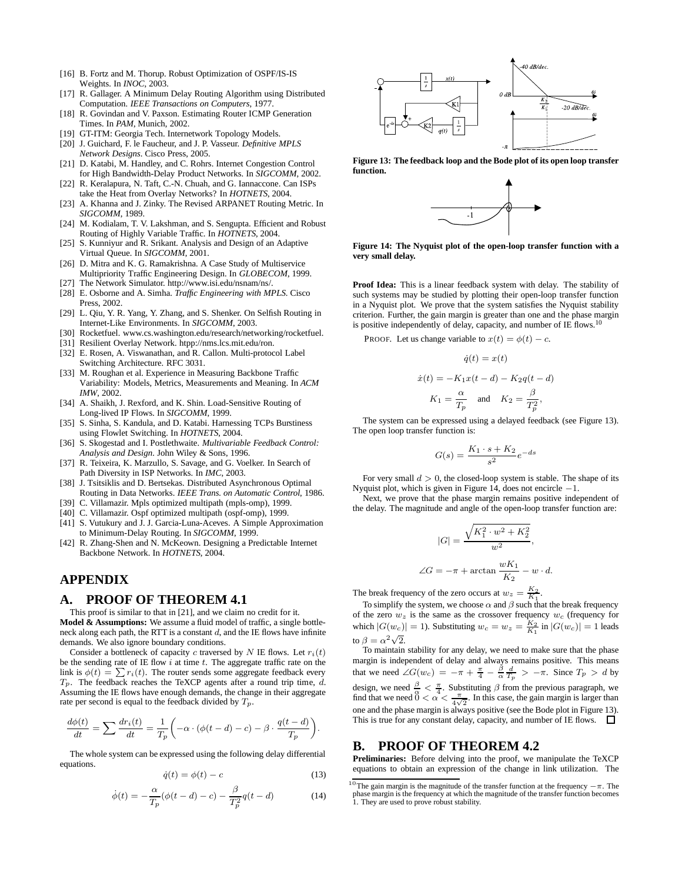- [16] B. Fortz and M. Thorup. Robust Optimization of OSPF/IS-IS Weights. In *INOC*, 2003.
- [17] R. Gallager. A Minimum Delay Routing Algorithm using Distributed Computation. *IEEE Transactions on Computers*, 1977.
- [18] R. Govindan and V. Paxson. Estimating Router ICMP Generation Times. In *PAM*, Munich, 2002.
- [19] GT-ITM: Georgia Tech. Internetwork Topology Models.
- [20] J. Guichard, F. le Faucheur, and J. P. Vasseur. *Definitive MPLS Network Designs*. Cisco Press, 2005.
- [21] D. Katabi, M. Handley, and C. Rohrs. Internet Congestion Control for High Bandwidth-Delay Product Networks. In *SIGCOMM*, 2002.
- [22] R. Keralapura, N. Taft, C.-N. Chuah, and G. Iannaccone. Can ISPs take the Heat from Overlay Networks? In *HOTNETS*, 2004.
- [23] A. Khanna and J. Zinky. The Revised ARPANET Routing Metric. In *SIGCOMM*, 1989.
- [24] M. Kodialam, T. V. Lakshman, and S. Sengupta. Efficient and Robust Routing of Highly Variable Traffic. In *HOTNETS*, 2004.
- [25] S. Kunniyur and R. Srikant. Analysis and Design of an Adaptive Virtual Queue. In *SIGCOMM*, 2001.
- [26] D. Mitra and K. G. Ramakrishna. A Case Study of Multiservice Multipriority Traffic Engineering Design. In *GLOBECOM*, 1999.
- [27] The Network Simulator. http://www.isi.edu/nsnam/ns/.
- [28] E. Osborne and A. Simha. *Traffic Engineering with MPLS*. Cisco Press, 2002.
- [29] L. Qiu, Y. R. Yang, Y. Zhang, and S. Shenker. On Selfish Routing in Internet-Like Environments. In *SIGCOMM*, 2003.
- [30] Rocketfuel. www.cs.washington.edu/research/networking/rocketfuel.
- [31] Resilient Overlay Network. htpp://nms.lcs.mit.edu/ron.
- [32] E. Rosen, A. Viswanathan, and R. Callon. Multi-protocol Label Switching Architecture. RFC 3031.
- [33] M. Roughan et al. Experience in Measuring Backbone Traffic Variability: Models, Metrics, Measurements and Meaning. In *ACM IMW*, 2002.
- [34] A. Shaikh, J. Rexford, and K. Shin. Load-Sensitive Routing of Long-lived IP Flows. In *SIGCOMM*, 1999.
- [35] S. Sinha, S. Kandula, and D. Katabi. Harnessing TCPs Burstiness using Flowlet Switching. In *HOTNETS*, 2004.
- [36] S. Skogestad and I. Postlethwaite. *Multivariable Feedback Control: Analysis and Design*. John Wiley & Sons, 1996.
- [37] R. Teixeira, K. Marzullo, S. Savage, and G. Voelker. In Search of Path Diversity in ISP Networks. In *IMC*, 2003.
- [38] J. Tsitsiklis and D. Bertsekas. Distributed Asynchronous Optimal Routing in Data Networks. *IEEE Trans. on Automatic Control*, 1986.
- [39] C. Villamazir. Mpls optimized multipath (mpls-omp), 1999.
- [40] C. Villamazir. Ospf optimized multipath (ospf-omp), 1999.
- [41] S. Vutukury and J. J. Garcia-Luna-Aceves. A Simple Approximation to Minimum-Delay Routing. In *SIGCOMM*, 1999.
- [42] R. Zhang-Shen and N. McKeown. Designing a Predictable Internet Backbone Network. In *HOTNETS*, 2004.

## **APPENDIX**

## **A. PROOF OF THEOREM 4.1**

This proof is similar to that in [21], and we claim no credit for it. **Model & Assumptions:** We assume a fluid model of traffic, a single bottleneck along each path, the RTT is a constant  $d$ , and the IE flows have infinite demands. We also ignore boundary conditions.

Consider a bottleneck of capacity c traversed by N IE flows. Let  $r_i(t)$ be the sending rate of IE flow  $i$  at time  $t$ . The aggregate traffic rate on the link is  $\phi(t) = \sum r_i(t)$ . The router sends some aggregate feedback every  $T_p$ . The feedback reaches the TeXCP agents after a round trip time, d. Assuming the IE flows have enough demands, the change in their aggregate rate per second is equal to the feedback divided by  $T_p$ .

$$
\frac{d\phi(t)}{dt} = \sum \frac{dr_i(t)}{dt} = \frac{1}{T_p} \left( -\alpha \cdot (\phi(t-d) - c) - \beta \cdot \frac{q(t-d)}{T_p} \right).
$$

The whole system can be expressed using the following delay differential equations.

$$
\dot{q}(t) = \phi(t) - c \tag{13}
$$

$$
\dot{\phi}(t) = -\frac{\alpha}{T_p}(\phi(t-d) - c) - \frac{\beta}{T_p^2}q(t-d)
$$
\n(14)



**Figure 13: The feedback loop and the Bode plot of its open loop transfer function.**



**Figure 14: The Nyquist plot of the open-loop transfer function with a very small delay.**

**Proof Idea:** This is a linear feedback system with delay. The stability of such systems may be studied by plotting their open-loop transfer function in a Nyquist plot. We prove that the system satisfies the Nyquist stability criterion. Further, the gain margin is greater than one and the phase margin is positive independently of delay, capacity, and number of IE flows.<sup>10</sup>

PROOF. Let us change variable to  $x(t) = \phi(t) - c$ .

$$
\dot{x}(t) = -K_1 x(t - d) - K_2 q(t - d)
$$

$$
K_1 = \frac{\alpha}{T_p} \quad \text{and} \quad K_2 = \frac{\beta}{T_p^2},
$$

 $\dot{q}(t) = x(t)$ 

The system can be expressed using a delayed feedback (see Figure 13). The open loop transfer function is:

$$
G(s) = \frac{K_1 \cdot s + K_2}{s^2} e^{-ds}
$$

For very small  $d > 0$ , the closed-loop system is stable. The shape of its Nyquist plot, which is given in Figure 14, does not encircle  $-1$ .

Next, we prove that the phase margin remains positive independent of the delay. The magnitude and angle of the open-loop transfer function are:

$$
|G| = \frac{\sqrt{K_1^2 \cdot w^2 + K_2^2}}{w^2},
$$
  

$$
\angle G = -\pi + \arctan \frac{wK_1}{K_2} - w \cdot d.
$$

The break frequency of the zero occurs at  $w_z = \frac{K_2}{K_1}$ .

To simplify the system, we choose  $\alpha$  and  $\beta$  such that the break frequency of the zero  $w_z$  is the same as the crossover frequency  $w_c$  (frequency for which  $|G(w_c)| = 1$ ). Substituting  $w_c = w_z = \frac{K_2}{K_1}$  in  $|G(w_c)| = 1$  leads to  $\beta = \alpha^2 \sqrt{2}$ .

To maintain stability for any delay, we need to make sure that the phase margin is independent of delay and always remains positive. This means that we need  $\angle G(w_c) = -\pi + \frac{\pi}{4} - \frac{\beta}{\alpha} \frac{d}{T_p} > -\pi$ . Since  $T_p > d$  by design, we need  $\frac{\beta}{\alpha} < \frac{\pi}{4}$ . Substituting  $\beta$  from the previous paragraph, we find that we need  $0 < \alpha < \frac{\pi}{4\sqrt{2}}$ . In this case, the gain margin is larger than one and the phase margin is always positive (see the Bode plot in Figure 13). This is true for any constant delay, capacity, and number of IE flows.  $\Box$ 

#### **B. PROOF OF THEOREM 4.2**

**Preliminaries:** Before delving into the proof, we manipulate the TeXCP equations to obtain an expression of the change in link utilization. The

<sup>&</sup>lt;sup>10</sup>The gain margin is the magnitude of the transfer function at the frequency  $-\pi$ . The phase margin is the frequency at which the magnitude of the transfer function becomes 1. They are used to prove robust stability.